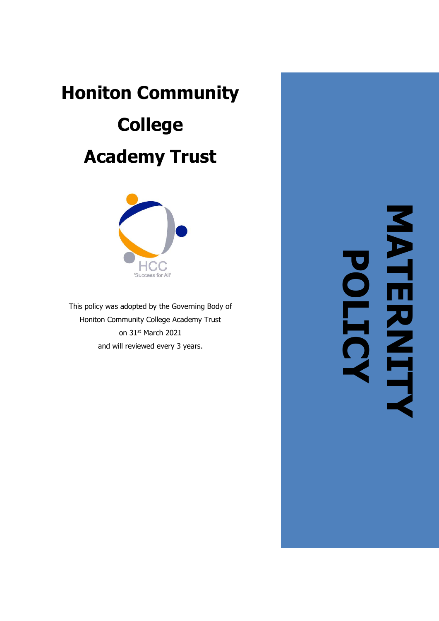# **Honiton Community College Academy Trust**



This policy was adopted by the Governing Body of Honiton Community College Academy Trust on 31<sup>st</sup> March 2021 and will reviewed every 3 years .

**MATERNITY POLICY**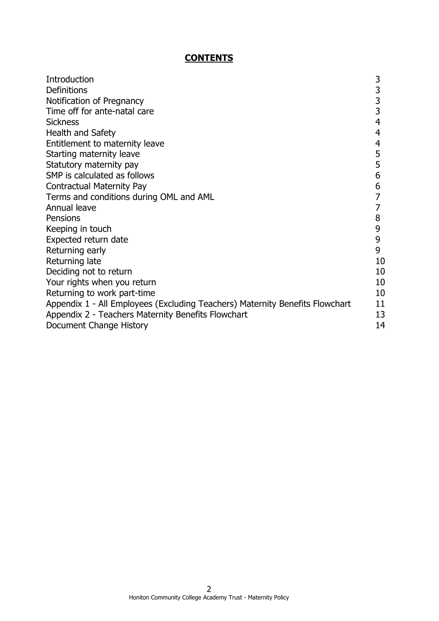# **CONTENTS**

| 3<br><b>Definitions</b><br>3<br>Notification of Pregnancy<br>3<br>Time off for ante-natal care<br>4<br><b>Sickness</b> |
|------------------------------------------------------------------------------------------------------------------------|
|                                                                                                                        |
|                                                                                                                        |
|                                                                                                                        |
|                                                                                                                        |
| Health and Safety<br>4                                                                                                 |
| Entitlement to maternity leave<br>4                                                                                    |
| 5<br>Starting maternity leave                                                                                          |
| 5<br>Statutory maternity pay                                                                                           |
| 6<br>SMP is calculated as follows                                                                                      |
| 6<br><b>Contractual Maternity Pay</b>                                                                                  |
| Terms and conditions during OML and AML                                                                                |
| Annual leave                                                                                                           |
| 8<br>Pensions                                                                                                          |
| 9<br>Keeping in touch                                                                                                  |
| 9<br>Expected return date                                                                                              |
| 9<br>Returning early                                                                                                   |
| Returning late<br>10                                                                                                   |
| 10<br>Deciding not to return                                                                                           |
| 10<br>Your rights when you return                                                                                      |
| 10<br>Returning to work part-time                                                                                      |
| 11<br>Appendix 1 - All Employees (Excluding Teachers) Maternity Benefits Flowchart                                     |
| 13<br>Appendix 2 - Teachers Maternity Benefits Flowchart                                                               |
| 14<br>Document Change History                                                                                          |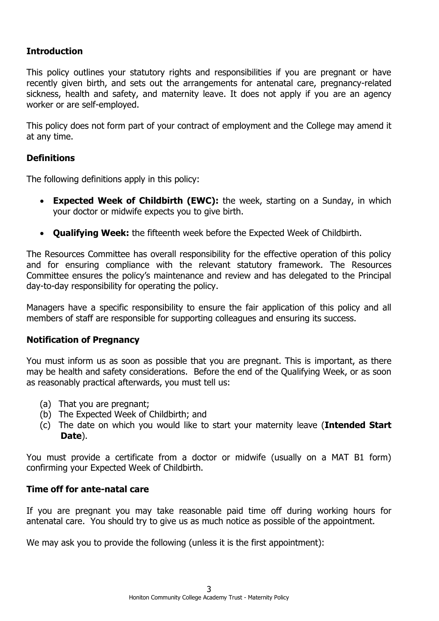## **Introduction**

This policy outlines your statutory rights and responsibilities if you are pregnant or have recently given birth, and sets out the arrangements for antenatal care, pregnancy-related sickness, health and safety, and maternity leave. It does not apply if you are an agency worker or are self-employed.

This policy does not form part of your contract of employment and the College may amend it at any time.

## **Definitions**

The following definitions apply in this policy:

- **Expected Week of Childbirth (EWC):** the week, starting on a Sunday, in which your doctor or midwife expects you to give birth.
- **Qualifying Week:** the fifteenth week before the Expected Week of Childbirth.

The Resources Committee has overall responsibility for the effective operation of this policy and for ensuring compliance with the relevant statutory framework. The Resources Committee ensures the policy's maintenance and review and has delegated to the Principal day-to-day responsibility for operating the policy.

Managers have a specific responsibility to ensure the fair application of this policy and all members of staff are responsible for supporting colleagues and ensuring its success.

## **Notification of Pregnancy**

You must inform us as soon as possible that you are pregnant. This is important, as there may be health and safety considerations. Before the end of the Qualifying Week, or as soon as reasonably practical afterwards, you must tell us:

- (a) That you are pregnant;
- (b) The Expected Week of Childbirth; and
- (c) The date on which you would like to start your maternity leave (**Intended Start Date**).

You must provide a certificate from a doctor or midwife (usually on a MAT B1 form) confirming your Expected Week of Childbirth.

## **Time off for ante-natal care**

If you are pregnant you may take reasonable paid time off during working hours for antenatal care. You should try to give us as much notice as possible of the appointment.

We may ask you to provide the following (unless it is the first appointment):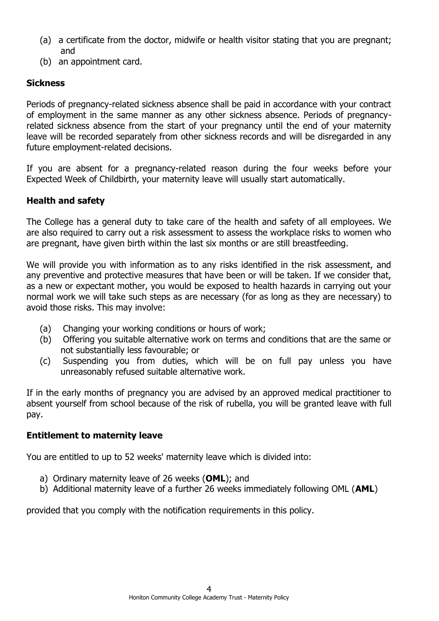- (a) a certificate from the doctor, midwife or health visitor stating that you are pregnant; and
- (b) an appointment card.

# **Sickness**

Periods of pregnancy-related sickness absence shall be paid in accordance with your contract of employment in the same manner as any other sickness absence. Periods of pregnancyrelated sickness absence from the start of your pregnancy until the end of your maternity leave will be recorded separately from other sickness records and will be disregarded in any future employment-related decisions.

If you are absent for a pregnancy-related reason during the four weeks before your Expected Week of Childbirth, your maternity leave will usually start automatically.

# **Health and safety**

The College has a general duty to take care of the health and safety of all employees. We are also required to carry out a risk assessment to assess the workplace risks to women who are pregnant, have given birth within the last six months or are still breastfeeding.

We will provide you with information as to any risks identified in the risk assessment, and any preventive and protective measures that have been or will be taken. If we consider that, as a new or expectant mother, you would be exposed to health hazards in carrying out your normal work we will take such steps as are necessary (for as long as they are necessary) to avoid those risks. This may involve:

- (a) Changing your working conditions or hours of work;
- (b) Offering you suitable alternative work on terms and conditions that are the same or not substantially less favourable; or
- (c) Suspending you from duties, which will be on full pay unless you have unreasonably refused suitable alternative work.

If in the early months of pregnancy you are advised by an approved medical practitioner to absent yourself from school because of the risk of rubella, you will be granted leave with full pay.

## **Entitlement to maternity leave**

You are entitled to up to 52 weeks' maternity leave which is divided into:

- a) Ordinary maternity leave of 26 weeks (**OML**); and
- b) Additional maternity leave of a further 26 weeks immediately following OML (**AML**)

provided that you comply with the notification requirements in this policy.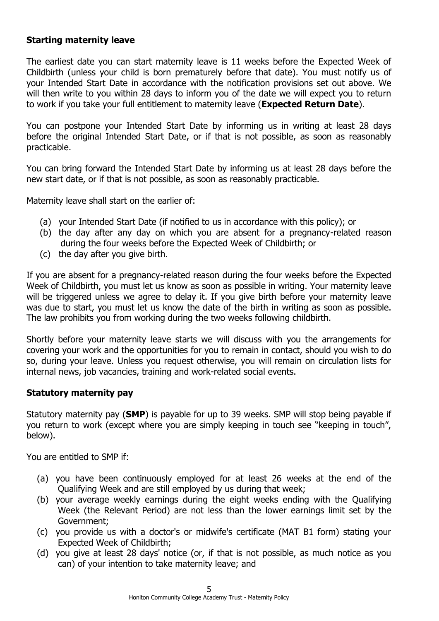## **Starting maternity leave**

The earliest date you can start maternity leave is 11 weeks before the Expected Week of Childbirth (unless your child is born prematurely before that date). You must notify us of your Intended Start Date in accordance with the notification provisions set out above. We will then write to you within 28 days to inform you of the date we will expect you to return to work if you take your full entitlement to maternity leave (**Expected Return Date**).

You can postpone your Intended Start Date by informing us in writing at least 28 days before the original Intended Start Date, or if that is not possible, as soon as reasonably practicable.

You can bring forward the Intended Start Date by informing us at least 28 days before the new start date, or if that is not possible, as soon as reasonably practicable.

Maternity leave shall start on the earlier of:

- (a) your Intended Start Date (if notified to us in accordance with this policy); or
- (b) the day after any day on which you are absent for a pregnancy-related reason during the four weeks before the Expected Week of Childbirth; or
- (c) the day after you give birth.

If you are absent for a pregnancy-related reason during the four weeks before the Expected Week of Childbirth, you must let us know as soon as possible in writing. Your maternity leave will be triggered unless we agree to delay it. If you give birth before your maternity leave was due to start, you must let us know the date of the birth in writing as soon as possible. The law prohibits you from working during the two weeks following childbirth.

Shortly before your maternity leave starts we will discuss with you the arrangements for covering your work and the opportunities for you to remain in contact, should you wish to do so, during your leave. Unless you request otherwise, you will remain on circulation lists for internal news, job vacancies, training and work-related social events.

## **Statutory maternity pay**

Statutory maternity pay (**SMP**) is payable for up to 39 weeks. SMP will stop being payable if you return to work (except where you are simply keeping in touch see "keeping in touch", below).

You are entitled to SMP if:

- (a) you have been continuously employed for at least 26 weeks at the end of the Qualifying Week and are still employed by us during that week;
- (b) your average weekly earnings during the eight weeks ending with the Qualifying Week (the Relevant Period) are not less than the lower earnings limit set by the Government;
- (c) you provide us with a doctor's or midwife's certificate (MAT B1 form) stating your Expected Week of Childbirth;
- (d) you give at least 28 days' notice (or, if that is not possible, as much notice as you can) of your intention to take maternity leave; and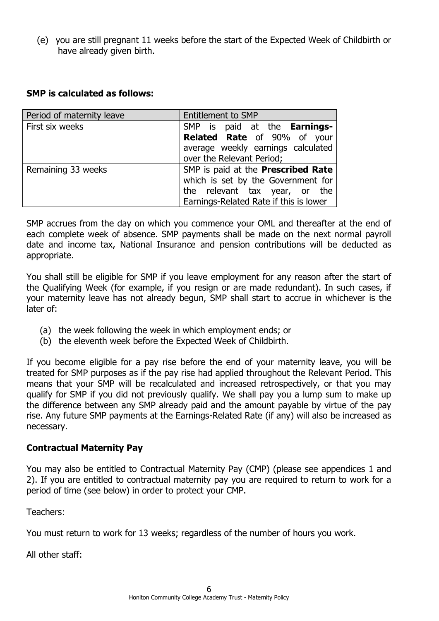(e) you are still pregnant 11 weeks before the start of the Expected Week of Childbirth or have already given birth.

## **SMP is calculated as follows:**

| Period of maternity leave | <b>Entitlement to SMP</b>              |
|---------------------------|----------------------------------------|
| First six weeks           | SMP is paid at the Earnings-           |
|                           | Related Rate of 90% of your            |
|                           | average weekly earnings calculated     |
|                           | over the Relevant Period;              |
| Remaining 33 weeks        | SMP is paid at the Prescribed Rate     |
|                           | which is set by the Government for     |
|                           | the relevant tax year, or the          |
|                           | Earnings-Related Rate if this is lower |

SMP accrues from the day on which you commence your OML and thereafter at the end of each complete week of absence. SMP payments shall be made on the next normal payroll date and income tax, National Insurance and pension contributions will be deducted as appropriate.

You shall still be eligible for SMP if you leave employment for any reason after the start of the Qualifying Week (for example, if you resign or are made redundant). In such cases, if your maternity leave has not already begun, SMP shall start to accrue in whichever is the later of:

- (a) the week following the week in which employment ends; or
- (b) the eleventh week before the Expected Week of Childbirth.

If you become eligible for a pay rise before the end of your maternity leave, you will be treated for SMP purposes as if the pay rise had applied throughout the Relevant Period. This means that your SMP will be recalculated and increased retrospectively, or that you may qualify for SMP if you did not previously qualify. We shall pay you a lump sum to make up the difference between any SMP already paid and the amount payable by virtue of the pay rise. Any future SMP payments at the Earnings-Related Rate (if any) will also be increased as necessary.

## **Contractual Maternity Pay**

You may also be entitled to Contractual Maternity Pay (CMP) (please see appendices 1 and 2). If you are entitled to contractual maternity pay you are required to return to work for a period of time (see below) in order to protect your CMP.

## Teachers:

You must return to work for 13 weeks; regardless of the number of hours you work.

All other staff: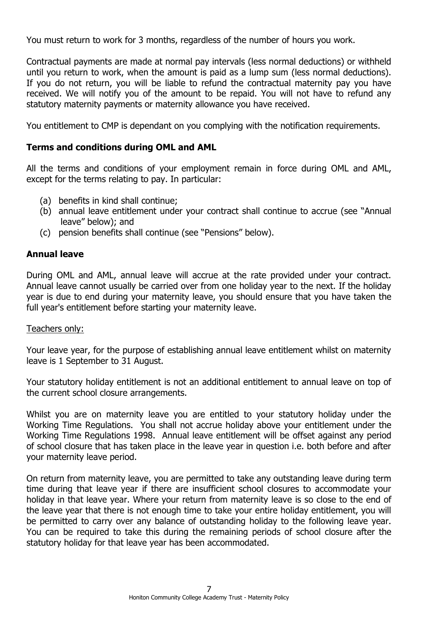You must return to work for 3 months, regardless of the number of hours you work.

Contractual payments are made at normal pay intervals (less normal deductions) or withheld until you return to work, when the amount is paid as a lump sum (less normal deductions). If you do not return, you will be liable to refund the contractual maternity pay you have received. We will notify you of the amount to be repaid. You will not have to refund any statutory maternity payments or maternity allowance you have received.

You entitlement to CMP is dependant on you complying with the notification requirements.

## **Terms and conditions during OML and AML**

All the terms and conditions of your employment remain in force during OML and AML, except for the terms relating to pay. In particular:

- (a) benefits in kind shall continue;
- (b) annual leave entitlement under your contract shall continue to accrue (see "Annual leave" below); and
- (c) pension benefits shall continue (see "Pensions" below).

# **Annual leave**

During OML and AML, annual leave will accrue at the rate provided under your contract. Annual leave cannot usually be carried over from one holiday year to the next. If the holiday year is due to end during your maternity leave, you should ensure that you have taken the full year's entitlement before starting your maternity leave.

## Teachers only:

Your leave year, for the purpose of establishing annual leave entitlement whilst on maternity leave is 1 September to 31 August.

Your statutory holiday entitlement is not an additional entitlement to annual leave on top of the current school closure arrangements.

Whilst you are on maternity leave you are entitled to your statutory holiday under the Working Time Regulations. You shall not accrue holiday above your entitlement under the Working Time Regulations 1998. Annual leave entitlement will be offset against any period of school closure that has taken place in the leave year in question i.e. both before and after your maternity leave period.

On return from maternity leave, you are permitted to take any outstanding leave during term time during that leave year if there are insufficient school closures to accommodate your holiday in that leave year. Where your return from maternity leave is so close to the end of the leave year that there is not enough time to take your entire holiday entitlement, you will be permitted to carry over any balance of outstanding holiday to the following leave year. You can be required to take this during the remaining periods of school closure after the statutory holiday for that leave year has been accommodated.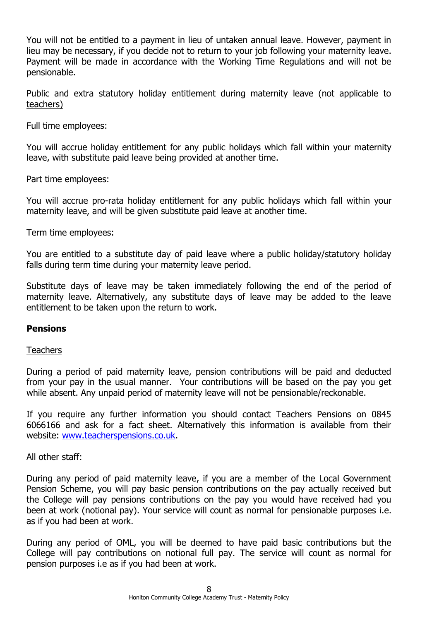You will not be entitled to a payment in lieu of untaken annual leave. However, payment in lieu may be necessary, if you decide not to return to your job following your maternity leave. Payment will be made in accordance with the Working Time Regulations and will not be pensionable.

Public and extra statutory holiday entitlement during maternity leave (not applicable to teachers)

Full time employees:

You will accrue holiday entitlement for any public holidays which fall within your maternity leave, with substitute paid leave being provided at another time.

Part time employees:

You will accrue pro-rata holiday entitlement for any public holidays which fall within your maternity leave, and will be given substitute paid leave at another time.

Term time employees:

You are entitled to a substitute day of paid leave where a public holiday/statutory holiday falls during term time during your maternity leave period.

Substitute days of leave may be taken immediately following the end of the period of maternity leave. Alternatively, any substitute days of leave may be added to the leave entitlement to be taken upon the return to work.

## **Pensions**

Teachers

During a period of paid maternity leave, pension contributions will be paid and deducted from your pay in the usual manner. Your contributions will be based on the pay you get while absent. Any unpaid period of maternity leave will not be pensionable/reckonable.

If you require any further information you should contact Teachers Pensions on 0845 6066166 and ask for a fact sheet. Alternatively this information is available from their website: [www.teacherspensions.co.uk.](http://www.teacherspensions.co.uk/)

#### All other staff:

During any period of paid maternity leave, if you are a member of the Local Government Pension Scheme, you will pay basic pension contributions on the pay actually received but the College will pay pensions contributions on the pay you would have received had you been at work (notional pay). Your service will count as normal for pensionable purposes i.e. as if you had been at work.

During any period of OML, you will be deemed to have paid basic contributions but the College will pay contributions on notional full pay. The service will count as normal for pension purposes i.e as if you had been at work.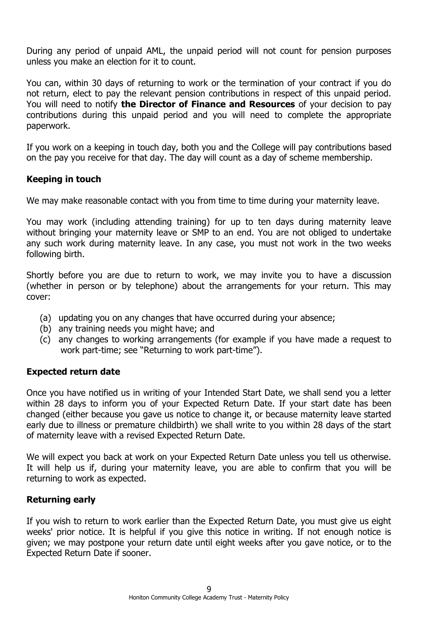During any period of unpaid AML, the unpaid period will not count for pension purposes unless you make an election for it to count.

You can, within 30 days of returning to work or the termination of your contract if you do not return, elect to pay the relevant pension contributions in respect of this unpaid period. You will need to notify **the Director of Finance and Resources** of your decision to pay contributions during this unpaid period and you will need to complete the appropriate paperwork.

If you work on a keeping in touch day, both you and the College will pay contributions based on the pay you receive for that day. The day will count as a day of scheme membership.

## **Keeping in touch**

We may make reasonable contact with you from time to time during your maternity leave.

You may work (including attending training) for up to ten days during maternity leave without bringing your maternity leave or SMP to an end. You are not obliged to undertake any such work during maternity leave. In any case, you must not work in the two weeks following birth.

Shortly before you are due to return to work, we may invite you to have a discussion (whether in person or by telephone) about the arrangements for your return. This may cover:

- (a) updating you on any changes that have occurred during your absence;
- (b) any training needs you might have; and
- (c) any changes to working arrangements (for example if you have made a request to work part-time; see "Returning to work part-time").

## **Expected return date**

Once you have notified us in writing of your Intended Start Date, we shall send you a letter within 28 days to inform you of your Expected Return Date. If your start date has been changed (either because you gave us notice to change it, or because maternity leave started early due to illness or premature childbirth) we shall write to you within 28 days of the start of maternity leave with a revised Expected Return Date.

We will expect you back at work on your Expected Return Date unless you tell us otherwise. It will help us if, during your maternity leave, you are able to confirm that you will be returning to work as expected.

## **Returning early**

If you wish to return to work earlier than the Expected Return Date, you must give us eight weeks' prior notice. It is helpful if you give this notice in writing. If not enough notice is given; we may postpone your return date until eight weeks after you gave notice, or to the Expected Return Date if sooner.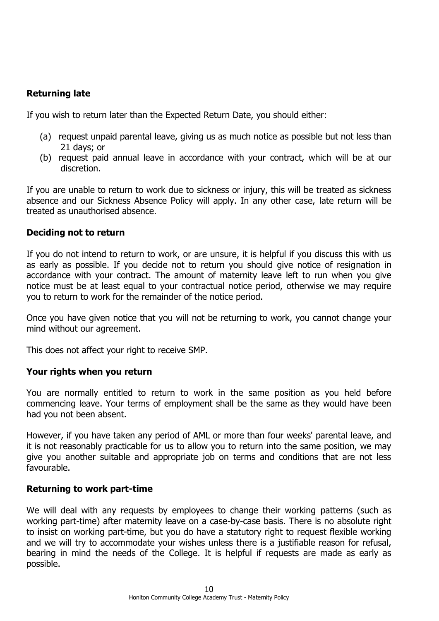# **Returning late**

If you wish to return later than the Expected Return Date, you should either:

- (a) request unpaid parental leave, giving us as much notice as possible but not less than 21 days; or
- (b) request paid annual leave in accordance with your contract, which will be at our discretion.

If you are unable to return to work due to sickness or injury, this will be treated as sickness absence and our Sickness Absence Policy will apply. In any other case, late return will be treated as unauthorised absence.

## **Deciding not to return**

If you do not intend to return to work, or are unsure, it is helpful if you discuss this with us as early as possible. If you decide not to return you should give notice of resignation in accordance with your contract. The amount of maternity leave left to run when you give notice must be at least equal to your contractual notice period, otherwise we may require you to return to work for the remainder of the notice period.

Once you have given notice that you will not be returning to work, you cannot change your mind without our agreement.

This does not affect your right to receive SMP.

## **Your rights when you return**

You are normally entitled to return to work in the same position as you held before commencing leave. Your terms of employment shall be the same as they would have been had you not been absent.

However, if you have taken any period of AML or more than four weeks' parental leave, and it is not reasonably practicable for us to allow you to return into the same position, we may give you another suitable and appropriate job on terms and conditions that are not less favourable.

## **Returning to work part-time**

We will deal with any requests by employees to change their working patterns (such as working part-time) after maternity leave on a case-by-case basis. There is no absolute right to insist on working part-time, but you do have a statutory right to request flexible working and we will try to accommodate your wishes unless there is a justifiable reason for refusal, bearing in mind the needs of the College. It is helpful if requests are made as early as possible.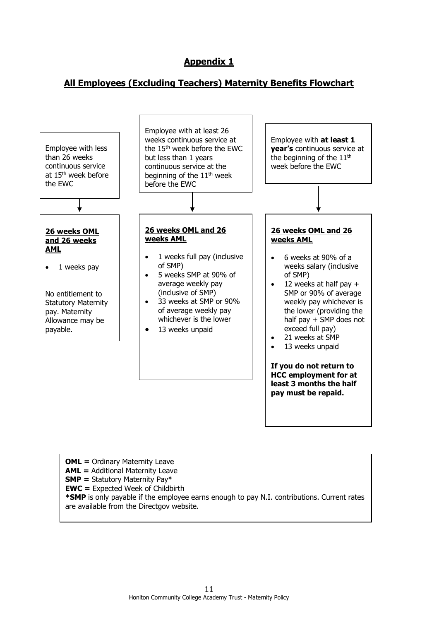## **Appendix 1**

## **All Employees (Excluding Teachers) Maternity Benefits Flowchart**



**OML** = Ordinary Maternity Leave **AML =** Additional Maternity Leave **SMP =** Statutory Maternity Pay\* **EWC =** Expected Week of Childbirth **\*SMP** is only payable if the employee earns enough to pay N.I. contributions. Current rates are available from the Directgov website.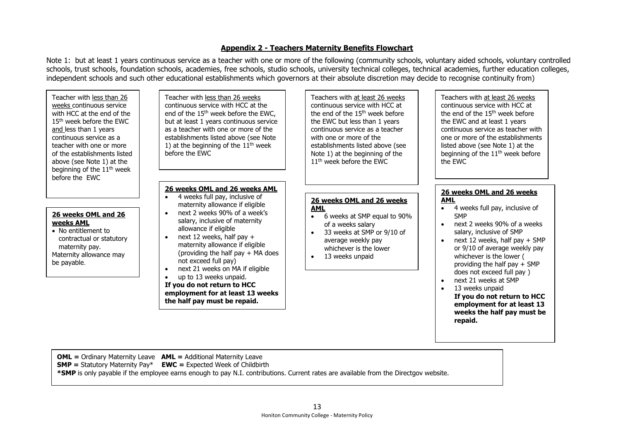#### **Appendix 2 - Teachers Maternity Benefits Flowchart**

Note 1: but at least 1 years continuous service as a teacher with one or more of the following (community schools, voluntary aided schools, voluntary controlled schools, trust schools, foundation schools, academies, free schools, studio schools, university technical colleges, technical academies, further education colleges, independent schools and such other educational establishments which governors at their absolute discretion may decide to recognise continuity from)

Teacher with less than 26 weeks continuous service with HCC at the end of the 15th week before the EWC and less than 1 years continuous service as a teacher with one or more of the establishments listed above (see Note 1) at the beginning of the  $11<sup>th</sup>$  week before the EWC

#### **26 weeks OML and 26 weeks AML**

• No entitlement to contractual or statutory maternity pay. Maternity allowance may be payable.

Teacher with less than 26 weeks continuous service with HCC at the end of the 15<sup>th</sup> week before the EWC, but at least 1 years continuous service as a teacher with one or more of the establishments listed above (see Note 1) at the beginning of the  $11<sup>th</sup>$  week before the EWC

#### **26 weeks OML and 26 weeks AML**

- 4 weeks full pay, inclusive of maternity allowance if eligible • next 2 weeks 90% of a week's
	- salary, inclusive of maternity allowance if eligible
- next 12 weeks, half pay  $+$ maternity allowance if eligible (providing the half pay + MA does not exceed full pay)
- next 21 weeks on MA if eligible

• up to 13 weeks unpaid. **If you do not return to HCC employment for at least 13 weeks the half pay must be repaid.**

 the end of the 15th week before Teachers with at least 26 weeks continuous service with HCC at the EWC but less than 1 years continuous service as a teacher with one or more of the establishments listed above (see Note 1) at the beginning of the 11<sup>th</sup> week before the EWC

#### **26 weeks OML and 26 weeks AML**

- 6 weeks at SMP equal to 90% of a weeks salary
- 33 weeks at SMP or 9/10 of average weekly pay whichever is the lower
- 13 weeks unpaid

Teachers with at least 26 weeks continuous service with HCC at the end of the 15<sup>th</sup> week before the EWC and at least 1 years continuous service as teacher with one or more of the establishments listed above (see Note 1) at the beginning of the 11<sup>th</sup> week before the EWC

#### **26 weeks OML and 26 weeks AML**

- 4 weeks full pay, inclusive of **SMP**
- next 2 weeks 90% of a weeks salary, inclusive of SMP
- $\bullet$  next 12 weeks, half pay  $+$  SMP or 9/10 of average weekly pay whichever is the lower ( providing the half pay + SMP does not exceed full pay )
- next 21 weeks at SMP

**repaid.**

• 13 weeks unpaid **If you do not return to HCC employment for at least 13 weeks the half pay must be** 

**OML =** Ordinary Maternity Leave **AML =** Additional Maternity Leave

**SMP =** Statutory Maternity Pay\* **EWC =** Expected Week of Childbirth

**\*SMP** is only payable if the employee earns enough to pay N.I. contributions. Current rates are available from the Directgov website.